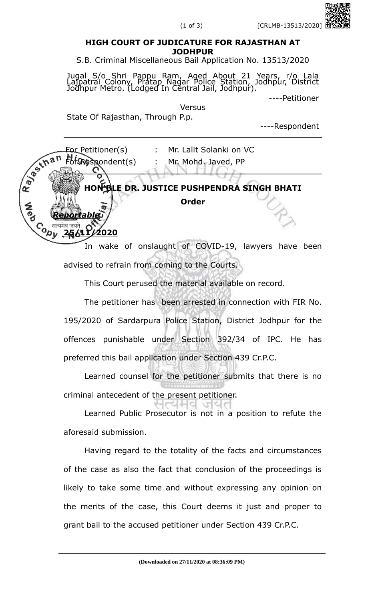## **HIGH COURT OF JUDICATURE FOR RAJASTHAN AT JODHPUR**

S.B. Criminal Miscellaneous Bail Application No. 13513/2020

Jugal S/o Shri Pappu Ram, Aged About 21 Years, r/o Lala Lajpatrai Colony, Pratap Nagar Police Station, Jodhpur, District Jodhpur Metro. (Lodged In Central Jail, Jodhpur).

----Petitioner

Versus

State Of Rajasthan, Through P.p.

----Respondent



advised to refrain from coming to the Courts.

This Court perused the material available on record.

The petitioner has been arrested in connection with FIR No. 195/2020 of Sardarpura Police Station, District Jodhpur for the offences punishable under Section 392/34 of IPC. He has preferred this bail application under Section 439 Cr.P.C.

Learned counsel for the petitioner submits that there is no criminal antecedent of the present petitioner.

Learned Public Prosecutor is not in a position to refute the aforesaid submission.

Having regard to the totality of the facts and circumstances of the case as also the fact that conclusion of the proceedings is likely to take some time and without expressing any opinion on the merits of the case, this Court deems it just and proper to grant bail to the accused petitioner under Section 439 Cr.P.C.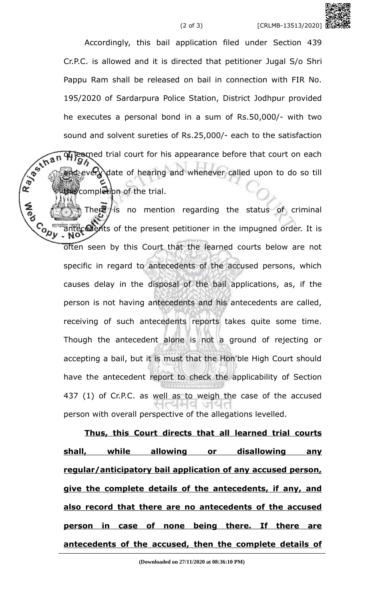Accordingly, this bail application filed under Section 439 Cr.P.C. is allowed and it is directed that petitioner Jugal S/o Shri Pappu Ram shall be released on bail in connection with FIR No. 195/2020 of Sardarpura Police Station, District Jodhpur provided he executes a personal bond in a sum of Rs.50,000/- with two sound and solvent sureties of Rs.25,000/- each to the satisfaction<br>  $\frac{1}{2}$ <br>  $\frac{1}{2}$ <br>  $\frac{1}{2}$ <br>  $\frac{1}{2}$ <br>  $\frac{1}{2}$ <br>  $\frac{1}{2}$ <br>  $\frac{1}{2}$ <br>  $\frac{1}{2}$ <br>  $\frac{1}{2}$ <br>  $\frac{1}{2}$ <br>  $\frac{1}{2}$ <br>  $\frac{1}{2}$ <br>  $\frac{1}{2}$ <br>  $\frac{1}{2}$ <br> of learned trial court for his appearance before that court on each cevery date of hearing and whenever called upon to do so till the completion of the trial.

There is no mention regarding the status of criminal Contract antecedents of the present petitioner in the impugned order. It is often seen by this Court that the learned courts below are not specific in regard to antecedents of the accused persons, which causes delay in the disposal of the bail applications, as, if the person is not having antecedents and his antecedents are called, receiving of such antecedents reports takes quite some time. Though the antecedent alone is not a ground of rejecting or accepting a bail, but it is must that the Hon'ble High Court should have the antecedent report to check the applicability of Section 437 (1) of Cr.P.C. as well as to weigh the case of the accused person with overall perspective of the allegations levelled.

**Thus, this Court directs that all learned trial courts shall, while allowing or disallowing any regular/anticipatory bail application of any accused person, give the complete details of the antecedents, if any, and also record that there are no antecedents of the accused person in case of none being there. If there are antecedents of the accused, then the complete details of**